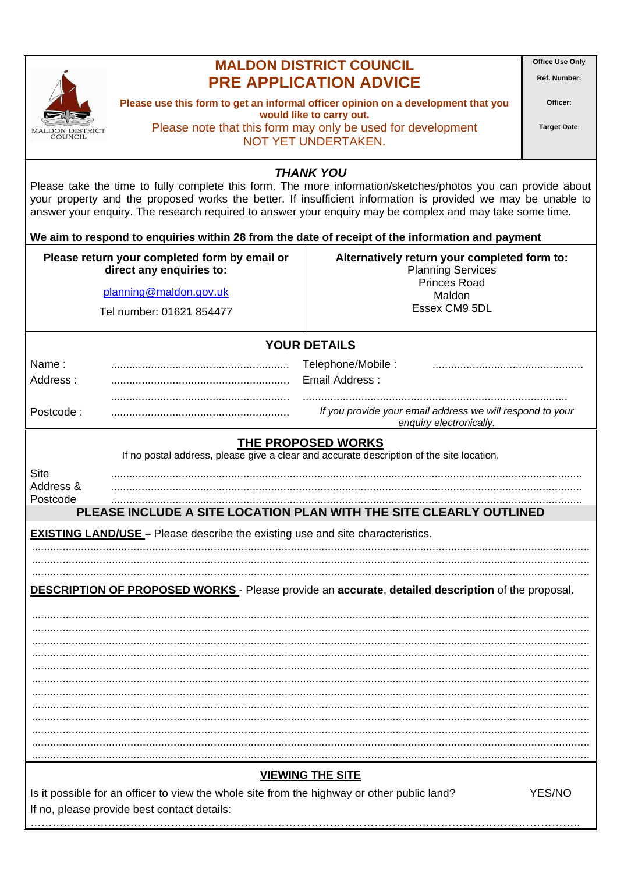

## **MALDON DISTRICT COUNCIL PRE APPLICATION ADVICE**

**Office Use Only** 

Ref. Number: Officer:

Please use this form to get an informal officer opinion on a development that you would like to carry out. Please note that this form may only be used for development NOT YET UNDERTAKEN.

**Target Date:** 

**THANK YOU** 

Please take the time to fully complete this form. The more information/sketches/photos you can provide about your property and the proposed works the better. If insufficient information is provided we may be unable to answer your enquiry. The research required to answer your enquiry may be complex and may take some time.

We aim to respond to enquiries within 28 from the date of receipt of the information and payment

| Please return your completed form by email or<br>direct any enquiries to:                                                                           | Alternatively return your completed form to:<br><b>Planning Services</b><br><b>Princes Road</b> |
|-----------------------------------------------------------------------------------------------------------------------------------------------------|-------------------------------------------------------------------------------------------------|
| planning@maldon.gov.uk                                                                                                                              | Maldon                                                                                          |
| Tel number: 01621 854477                                                                                                                            | Essex CM9 5DL                                                                                   |
| <b>YOUR DETAILS</b>                                                                                                                                 |                                                                                                 |
| Name:                                                                                                                                               | Telephone/Mobile:                                                                               |
| Address:                                                                                                                                            | Email Address:                                                                                  |
| Postcode:                                                                                                                                           | If you provide your email address we will respond to your<br>enquiry electronically.            |
| <b>THE PROPOSED WORKS</b><br>If no postal address, please give a clear and accurate description of the site location.                               |                                                                                                 |
| <b>Site</b><br>Address &<br>Postcode                                                                                                                |                                                                                                 |
| PLEASE INCLUDE A SITE LOCATION PLAN WITH THE SITE CLEARLY OUTLINED                                                                                  |                                                                                                 |
| <b>EXISTING LAND/USE</b> – Please describe the existing use and site characteristics.                                                               |                                                                                                 |
|                                                                                                                                                     |                                                                                                 |
|                                                                                                                                                     |                                                                                                 |
| <b>DESCRIPTION OF PROPOSED WORKS</b> - Please provide an accurate, detailed description of the proposal.                                            |                                                                                                 |
|                                                                                                                                                     |                                                                                                 |
|                                                                                                                                                     |                                                                                                 |
|                                                                                                                                                     |                                                                                                 |
|                                                                                                                                                     |                                                                                                 |
|                                                                                                                                                     |                                                                                                 |
|                                                                                                                                                     |                                                                                                 |
|                                                                                                                                                     |                                                                                                 |
|                                                                                                                                                     |                                                                                                 |
| <u>VIEWING THE SITE</u>                                                                                                                             |                                                                                                 |
| Is it possible for an officer to view the whole site from the highway or other public land?<br>YES/NO<br>If no please provide hest contact details: |                                                                                                 |